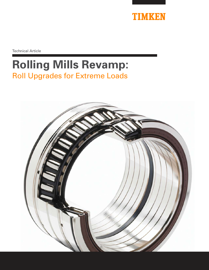

Technical Article

# **Rolling Mills Revamp:**  Roll Upgrades for Extreme Loads

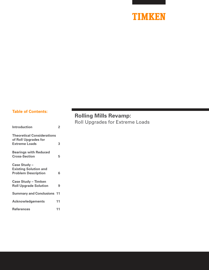

### **Table of Contents:**

| <b>Introduction</b>                                       | 2  |
|-----------------------------------------------------------|----|
| <b>Theoretical Considerations</b><br>of Roll Upgrades for |    |
| <b>Extreme Loads</b>                                      | 3  |
| <b>Bearings with Reduced</b><br><b>Cross-Section</b>      | 5  |
|                                                           |    |
| Case Study -<br><b>Existing Solution and</b>              |    |
| <b>Problem Description</b>                                | 6  |
| <b>Case Study - Timken</b>                                |    |
| <b>Roll Upgrade Solution</b>                              | 9  |
| <b>Summary and Conclusions 11</b>                         |    |
| <b>Acknowledgements</b>                                   | 11 |
| <b>References</b>                                         | 11 |

### **Rolling Mills Revamp:**

Roll Upgrades for Extreme Loads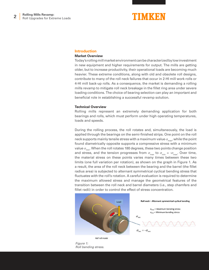### NIMKEN

#### **Introduction**

#### **Market Overview**

Today's rolling mill market environment can be characterized by low investment in new equipment and higher requirements for output. The mills are getting older, but to increase productivity, their operational loads are becoming much heavier. These extreme conditions, along with old and obsolete roll designs, contribute to many of the roll neck failures that occur in 2-HI mill work rolls or 4-HI mill back-up rolls. As a consequence, the market is demanding a rolling mills revamp to mitigate roll neck breakage in the fillet ring area under severe loading conditions. The choice of bearing selection can play an important and beneficial role in establishing a successful revamp solution.

#### **Technical Overview**

Rolling mills represent an extremely demanding application for both bearings and rolls, which must perform under high operating temperatures, loads and speeds.

During the rolling process, the roll rotates and, simultaneously, the load is applied through the bearings on the semi-finished strips. One point on the roll neck supports mainly tensile stress with a maximum value  $\sigma_{\scriptscriptstyle\rm max'}$  while the point found diametrically opposite supports a compressive stress with a minimum value  $\sigma_{\min}$ . When the roll rotates 180 degrees, these two points change position and stress, and the tension progresses from  $\sigma_{\sf max}$  to  $\sigma_{\sf min}$  = - $\sigma_{\sf max}$ . Over time, the material stress on these points varies many times between these two limits (one full variation per rotation), as shown on the graph in Figure 1. As a result, the area of the roll neck between the bearing and the barrel (the fillet radius area) is subjected to alternant symmetrical cyclical bending stress that fluctuates with the roll's rotation. A careful evaluation is required to determine the maximum allowed stress and manage the geometrical features of the transition between the roll neck and barrel diameters (i.e., step chamfers and fillet radii) in order to control the effect of stress concentration.



Figure 1: Roll bending stress.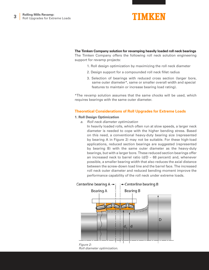

### **The Timken Company solution for revamping heavily loaded roll neck bearings**

The Timken Company offers the following roll neck solution engineering support for revamp projects:

- 1. Roll design optimization by maximizing the roll neck diameter
- 2. Design support for a compounded roll neck fillet radius
- 3. Selection of bearings with reduced cross section (larger bore, same outer diameter\*, same or smaller overall width and special features to maintain or increase bearing load rating).

\*The revamp solution assumes that the same chocks will be used, which requires bearings with the same outer diameter.

### **Theoretical Considerations of Roll Upgrades for Extreme Loads**

### **1. Roll Design Optimization**

a. Roll neck diameter optimization

In heavily loaded rolls, which often run at slow speeds, a larger neck diameter is needed to cope with the higher bending stress. Based on this need, a conventional heavy-duty bearing size (represented by bearing A in Figure 2) may not be suitable. For these high-load applications, reduced section bearings are suggested (represented by bearing B) with the same outer diameter as the heavy-duty bearings, but with a larger bore. These reduced section bearings offer an increased neck to barrel ratio  $(d/D \sim 68$  percent) and, whenever possible, a smaller bearing width that also reduces the axial distance between the screw-down load line and the barrel face. The increased roll neck outer diameter and reduced bending moment improve the performance capability of the roll neck under extreme loads.



Roll diameter optimization.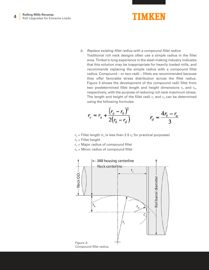

b. Replace existing fillet radius with a compound fillet radius

Traditional roll neck designs often use a simple radius in the fillet area. Timken's long experience in the steel-making industry indicates that this solution may be inappropriate for heavily loaded mills, and recommends replacing the simple radius with a compound fillet radius. Compound – or two-radii – fillets are recommended because they offer favorable stress distribution across the fillet radius. Figure 3 shows the development of the compound radii fillet from two predetermined fillet length and height dimensions  $r_a$  and  $r_b$ , respectively, with the purpose of reducing roll neck maximum stress. The length and height of the fillet radii  $r_c$  and  $r_d$  can be determined using the following formulas:

$$
r_c = r_a + \frac{(r_a - r_b)^2}{2(r_b - r_d)}
$$
 
$$
r_d = \frac{4r_b - r_a}{3}
$$

- $r_a$  = Fillet length ( $r_a$  is less than 2.5  $r_b$  for practical purposes)
- $r_b$  = Fillet height
- $r_c$  = Major radius of compound fillet
- $r_d$  = Minor radius of compound fillet

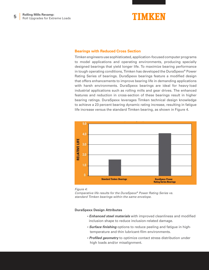

#### **Bearings with Reduced Cross Section**

Timken engineers use sophisticated, application-focused computer programs to model applications and operating environments, producing specially designed bearings that yield longer life. To maximize bearing performance in tough operating conditions, Timken has developed the DuraSpexx® Power Rating Series of bearings. DuraSpexx bearings feature a modified design that offers enhancements to improve bearing life in demanding applications with harsh environments. DuraSpexx bearings are ideal for heavy-load industrial applications such as rolling mills and gear drives. The enhanced features and reduction in cross-section of these bearings result in higher bearing ratings. DuraSpexx leverages Timken technical design knowledge to achieve a 23 percent bearing dynamic rating increase, resulting in fatigue life increase versus the standard Timken bearing, as shown in Figure 4.



Figure 4:

Comparative life results for the DuraSpexx® Power Rating Series vs. standard Timken bearings within the same envelope.

### **DuraSpexx Design Attributes**

- **Enhanced steel materials** with improved cleanliness and modified inclusion shape to reduce inclusion-related damage.
- **Surface finishing** options to reduce peeling and fatigue in high temperature and thin lubricant-film environments.
- **Profiled geometry** to optimize contact stress distribution under high loads and/or misalignment.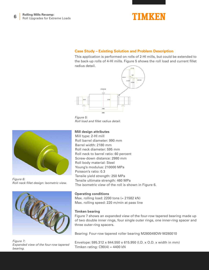

### **Case Study – Existing Solution and Problem Description**

This application is performed on rolls of 2-HI mills, but could be extended to the back-up rolls of 4-HI mills. Figure 5 shows the roll load and current fillet radius detail.



Figure 5: Roll load and fillet radius detail.

### **Mill design attributes**

Mill type: 2-HI mill Roll barrel diameter: 990 mm Barrel width: 2180 mm Roll neck diameter: 595 mm Roll neck to barrel ratio: 60 percent Screw-down distance: 2980 mm Roll body material: Steel Young's modulus: 210000 MPa Poisson's ratio: 0.3 Tensile yield strength: 250 MPa Tensile ultimate strength: 460 MPa The isometric view of the roll is shown in Figure 6.





Figure 7: Expanded view of the four-row tapered bearing.

### **Operating conditions**

Max. rolling load: 2200 tons (= 21582 kN) Max. rolling speed: 220 m/min at pass line

### **Timken bearing**

Figure 7 shows an expanded view of the four-row tapered bearing made up of two double inner rings, four single outer rings, one inner-ring spacer and three outer-ring spacers.

Bearing: Four-row tapered roller bearing M280049DW-M280010

Envelope: 595.312 x 844.550 x 615.950 (I.D. x O.D. x width in mm) Timken rating:  $C90(4) = 4400$  kN

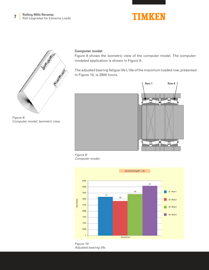## **TIMKEN**



Figure 8: Computer model: Isometric view.

### **Computer model**

Figure 8 shows the isometric view of the computer model. The computermodeled application is shown in Figure 9.

The adjusted bearing fatigue life L10a of the maximum loaded row, presented in Figure 10, is 2800 hours.



Figure 9: Computer model.



Figure 10: Adjusted bearing life.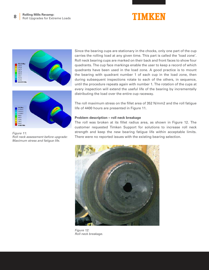## TIMKEN



49359 27042 14815<br>8116.1

Figure 11: Roll neck assessment before upgrade: Maximum stress and fatigue life.

Since the bearing cups are stationary in the chocks, only one part of the cup carries the rolling load at any given time. This part is called the 'load zone'. Roll neck bearing cups are marked on their back and front faces to show four quadrants. The cup face markings enable the user to keep a record of which quadrants have been used in the load zone. A good practice is to mount the bearing with quadrant number 1 of each cup in the load zone, then during subsequent inspections rotate to each of the others, in sequence, until the procedure repeats again with number 1. The rotation of the cups at every inspection will extend the useful life of the bearing by incrementally distributing the load over the entire cup raceway.

The roll maximum stress on the fillet area of 352 N/mm2 and the roll fatigue life of 4400 hours are presented in Figure 11.

### **Problem description – roll neck breakage**

The roll was broken at its fillet radius area, as shown in Figure 12. The customer requested Timken Support for solutions to increase roll neck strength and keep the new bearing fatigue life within acceptable limits. There were no reported issues with the existing bearing selection.



Figure 12: Roll neck breakage.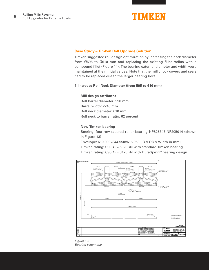

### **Case Study – Timken Roll Upgrade Solution**

Timken suggested roll design optimization by increasing the neck diameter from Ø595 to Ø610 mm and replacing the existing fillet radius with a compound fillet (Figure 14). The bearing external diameter and width were maintained at their initial values. Note that the mill chock covers and seals had to be replaced due to the larger bearing bore.

### **1. Increase Roll Neck Diameter (from 595 to 610 mm)**

### **Mill design attributes**

Roll barrel diameter: 990 mm Barrel width: 2240 mm Roll neck diameter: 610 mm Roll neck to barrel ratio: 62 percent

### **New Timken bearing**

Bearing: four-row tapered roller bearing NP825343-NP205014 (shown in Figure 13)

Envelope: 610.000x844.550x615.950 [ID x OD x Width in mm] Timken rating: C90(4) = 5020 kN with standard Timken bearing Timken rating: C90(4) = 6175 kN with DuraSpexx**®** bearing design



Figure 13: Bearing schematic.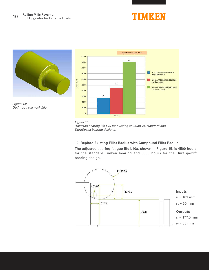





### **2. Replace Existing Fillet Radius with Compound Fillet Radius**

The adjusted bearing fatigue life L10a, shown in Figure 15, is 4500 hours for the standard Timken bearing and 9000 hours for the DuraSpexx® bearing design.